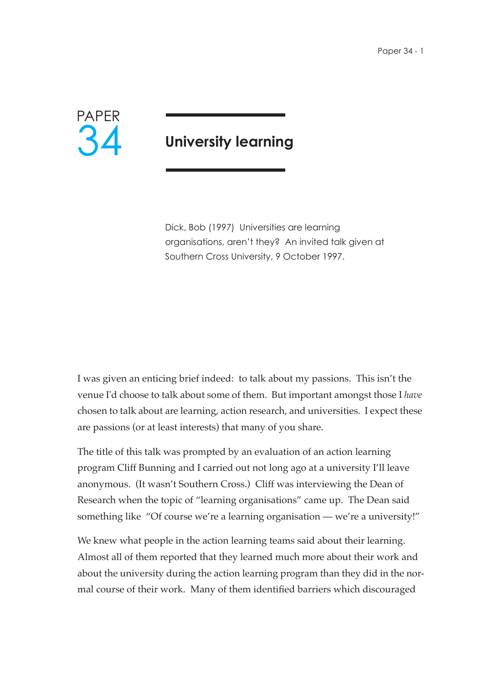

# **University learning**

Dick, Bob (1997) Universities are learning organisations, aren't they? An invited talk given at Southern Cross University, 9 October 1997.

I was given an enticing brief indeed: to talk about my passions. This isn't the venue I'd choose to talk about some of them. But important amongst those I *have* chosen to talk about are learning, action research, and universities. I expect these are passions (or at least interests) that many of you share.

The title of this talk was prompted by an evaluation of an action learning program Cliff Bunning and I carried out not long ago at a university I'll leave anonymous. (It wasn't Southern Cross.) Cliff was interviewing the Dean of Research when the topic of "learning organisations" came up. The Dean said something like "Of course we're a learning organisation — we're a university!"

We knew what people in the action learning teams said about their learning. Almost all of them reported that they learned much more about their work and about the university during the action learning program than they did in the normal course of their work. Many of them identified barriers which discouraged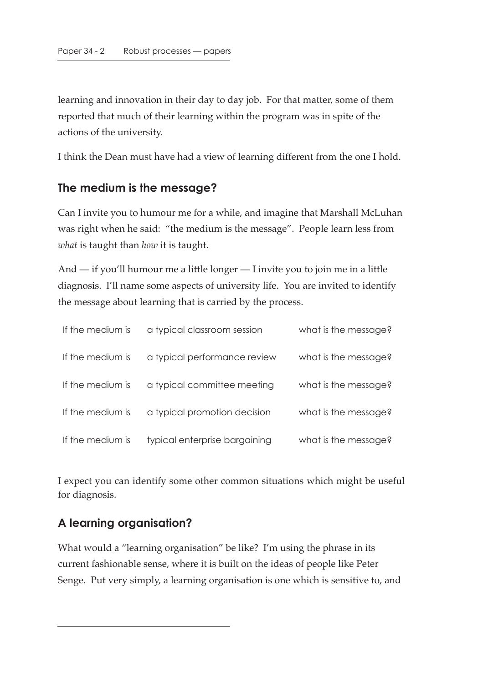learning and innovation in their day to day job. For that matter, some of them reported that much of their learning within the program was in spite of the actions of the university.

I think the Dean must have had a view of learning different from the one I hold.

# **The medium is the message?**

Can I invite you to humour me for a while, and imagine that Marshall McLuhan was right when he said: "the medium is the message". People learn less from *what* is taught than *how* it is taught.

And — if you'll humour me a little longer — I invite you to join me in a little diagnosis. I'll name some aspects of university life. You are invited to identify the message about learning that is carried by the process.

| If the medium is | a typical classroom session   | what is the message? |
|------------------|-------------------------------|----------------------|
| If the medium is | a typical performance review  | what is the message? |
| If the medium is | a typical committee meeting   | what is the message? |
| If the medium is | a typical promotion decision  | what is the message? |
| If the medium is | typical enterprise bargaining | what is the message? |

I expect you can identify some other common situations which might be useful for diagnosis.

# **A learning organisation?**

What would a "learning organisation" be like? I'm using the phrase in its current fashionable sense, where it is built on the ideas of people like Peter Senge. Put very simply, a learning organisation is one which is sensitive to, and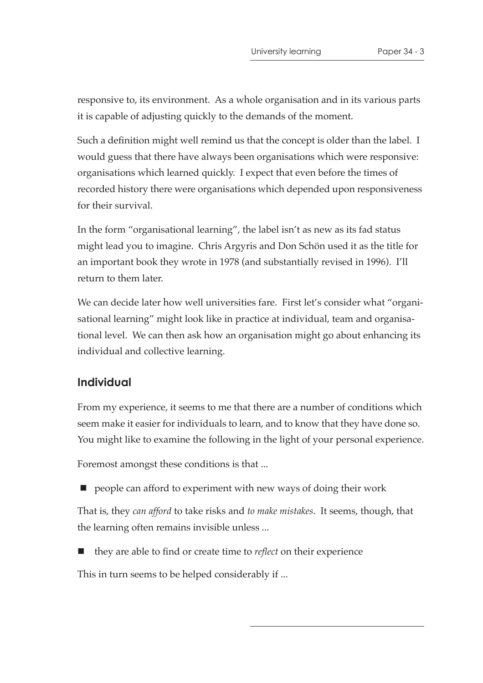responsive to, its environment. As a whole organisation and in its various parts it is capable of adjusting quickly to the demands of the moment.

Such a definition might well remind us that the concept is older than the label. I would guess that there have always been organisations which were responsive: organisations which learned quickly. I expect that even before the times of recorded history there were organisations which depended upon responsiveness for their survival.

In the form "organisational learning", the label isn't as new as its fad status might lead you to imagine. Chris Argyris and Don Schön used it as the title for an important book they wrote in 1978 (and substantially revised in 1996). I'll return to them later.

We can decide later how well universities fare. First let's consider what "organisational learning" might look like in practice at individual, team and organisational level. We can then ask how an organisation might go about enhancing its individual and collective learning.

# **Individual**

From my experience, it seems to me that there are a number of conditions which seem make it easier for individuals to learn, and to know that they have done so. You might like to examine the following in the light of your personal experience.

Foremost amongst these conditions is that ...

**P** people can afford to experiment with new ways of doing their work

That is, they *can afford* to take risks and *to make mistakes*. It seems, though, that the learning often remains invisible unless ...

■ they are able to find or create time to *reflect* on their experience

This in turn seems to be helped considerably if ...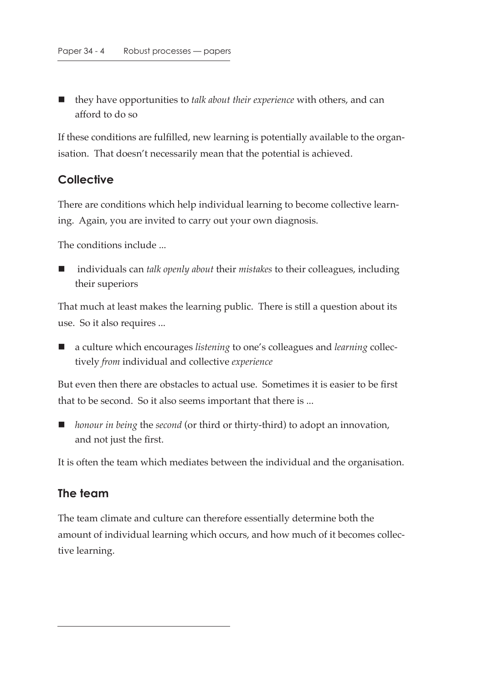they have opportunities to *talk about their experience* with others, and can afford to do so

If these conditions are fulfilled, new learning is potentially available to the organisation. That doesn't necessarily mean that the potential is achieved.

#### **Collective**

There are conditions which help individual learning to become collective learning. Again, you are invited to carry out your own diagnosis.

The conditions include ...

■ individuals can *talk openly about* their *mistakes* to their colleagues, including their superiors

That much at least makes the learning public. There is still a question about its use. So it also requires ...

■ a culture which encourages *listening* to one's colleagues and *learning* collectively *from* individual and collective *experience*

But even then there are obstacles to actual use. Sometimes it is easier to be first that to be second. So it also seems important that there is ...

■ *honour in being* the *second* (or third or thirty-third) to adopt an innovation, and not just the first.

It is often the team which mediates between the individual and the organisation.

#### **The team**

The team climate and culture can therefore essentially determine both the amount of individual learning which occurs, and how much of it becomes collective learning.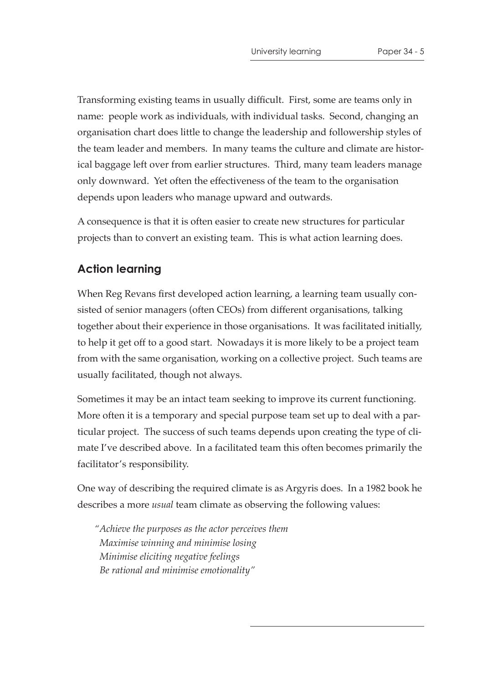Transforming existing teams in usually difficult. First, some are teams only in name: people work as individuals, with individual tasks. Second, changing an organisation chart does little to change the leadership and followership styles of the team leader and members. In many teams the culture and climate are historical baggage left over from earlier structures. Third, many team leaders manage only downward. Yet often the effectiveness of the team to the organisation depends upon leaders who manage upward and outwards.

A consequence is that it is often easier to create new structures for particular projects than to convert an existing team. This is what action learning does.

# **Action learning**

When Reg Revans first developed action learning, a learning team usually consisted of senior managers (often CEOs) from different organisations, talking together about their experience in those organisations. It was facilitated initially, to help it get off to a good start. Nowadays it is more likely to be a project team from with the same organisation, working on a collective project. Such teams are usually facilitated, though not always.

Sometimes it may be an intact team seeking to improve its current functioning. More often it is a temporary and special purpose team set up to deal with a particular project. The success of such teams depends upon creating the type of climate I've described above. In a facilitated team this often becomes primarily the facilitator's responsibility.

One way of describing the required climate is as Argyris does. In a 1982 book he describes a more *usual* team climate as observing the following values:

*"Achieve the purposes as the actor perceives them Maximise winning and minimise losing Minimise eliciting negative feelings Be rational and minimise emotionality"*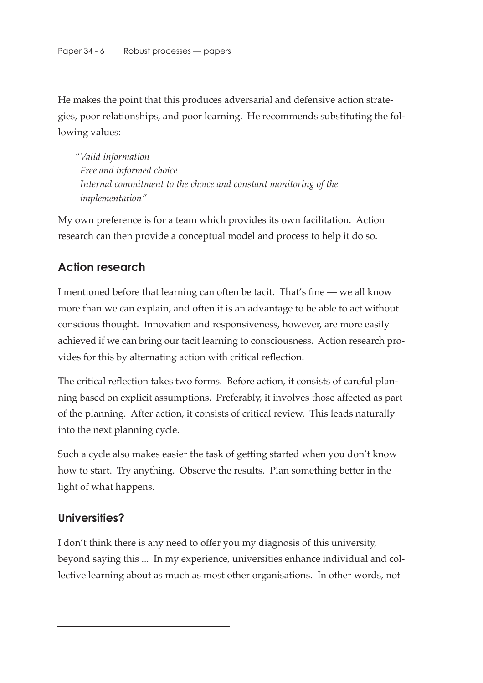He makes the point that this produces adversarial and defensive action strategies, poor relationships, and poor learning. He recommends substituting the following values:

*"Valid information Free and informed choice Internal commitment to the choice and constant monitoring of the implementation"*

My own preference is for a team which provides its own facilitation. Action research can then provide a conceptual model and process to help it do so.

# **Action research**

I mentioned before that learning can often be tacit. That's fine — we all know more than we can explain, and often it is an advantage to be able to act without conscious thought. Innovation and responsiveness, however, are more easily achieved if we can bring our tacit learning to consciousness. Action research provides for this by alternating action with critical reflection.

The critical reflection takes two forms. Before action, it consists of careful planning based on explicit assumptions. Preferably, it involves those affected as part of the planning. After action, it consists of critical review. This leads naturally into the next planning cycle.

Such a cycle also makes easier the task of getting started when you don't know how to start. Try anything. Observe the results. Plan something better in the light of what happens.

# **Universities?**

I don't think there is any need to offer you my diagnosis of this university, beyond saying this ... In my experience, universities enhance individual and collective learning about as much as most other organisations. In other words, not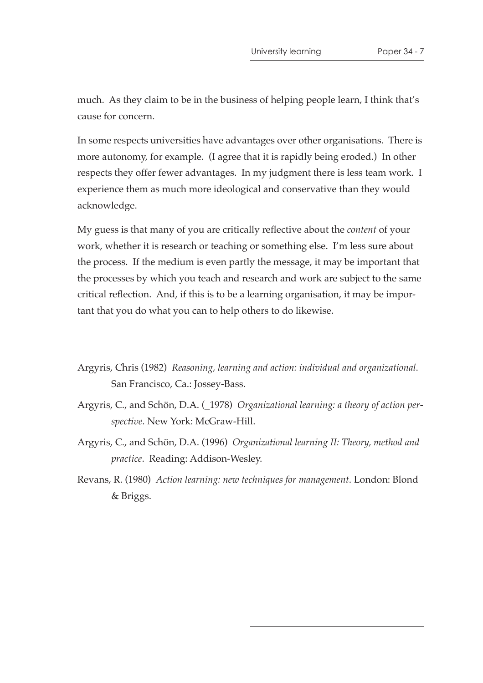much. As they claim to be in the business of helping people learn, I think that's cause for concern.

In some respects universities have advantages over other organisations. There is more autonomy, for example. (I agree that it is rapidly being eroded.) In other respects they offer fewer advantages. In my judgment there is less team work. I experience them as much more ideological and conservative than they would acknowledge.

My guess is that many of you are critically reflective about the *content* of your work, whether it is research or teaching or something else. I'm less sure about the process. If the medium is even partly the message, it may be important that the processes by which you teach and research and work are subject to the same critical reflection. And, if this is to be a learning organisation, it may be important that you do what you can to help others to do likewise.

- Argyris, Chris (1982) *Reasoning, learning and action: individual and organizational*. San Francisco, Ca.: Jossey-Bass.
- Argyris, C., and Schön, D.A. (\_1978) *Organizational learning: a theory of action perspective*. New York: McGraw-Hill.
- Argyris, C., and Schön, D.A. (1996) *Organizational learning II: Theory, method and practice*. Reading: Addison-Wesley.
- Revans, R. (1980) *Action learning: new techniques for management*. London: Blond & Briggs.